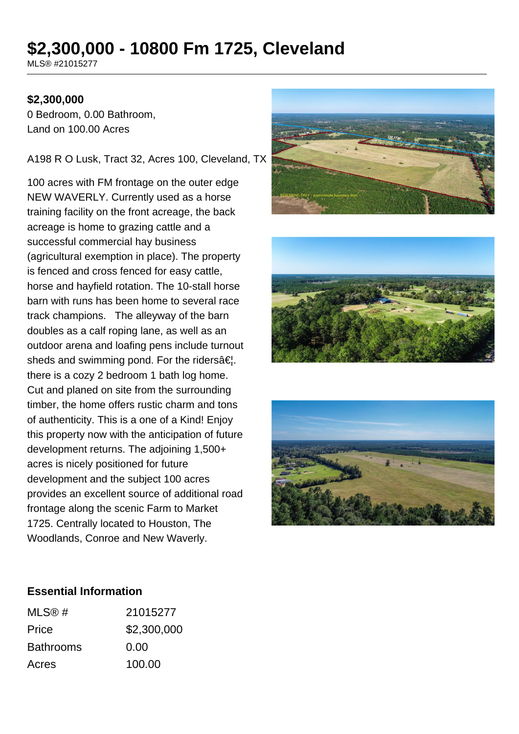# **\$2,300,000 - 10800 Fm 1725, Cleveland**

MLS® #21015277

## **\$2,300,000**

0 Bedroom, 0.00 Bathroom, Land on 100.00 Acres

#### A198 R O Lusk, Tract 32, Acres 100, Cleveland, TX

100 acres with FM frontage on the outer edge NEW WAVERLY. Currently used as a horse training facility on the front acreage, the back acreage is home to grazing cattle and a successful commercial hay business (agricultural exemption in place). The property is fenced and cross fenced for easy cattle, horse and hayfield rotation. The 10-stall horse barn with runs has been home to several race track champions. The alleyway of the barn doubles as a calf roping lane, as well as an outdoor arena and loafing pens include turnout sheds and swimming pond. For the riders $\hat{a}\in\mathcal{L}$ . there is a cozy 2 bedroom 1 bath log home. Cut and planed on site from the surrounding timber, the home offers rustic charm and tons of authenticity. This is a one of a Kind! Enjoy this property now with the anticipation of future development returns. The adjoining 1,500+ acres is nicely positioned for future development and the subject 100 acres provides an excellent source of additional road frontage along the scenic Farm to Market 1725. Centrally located to Houston, The Woodlands, Conroe and New Waverly.







### **Essential Information**

| MLS@#            | 21015277    |
|------------------|-------------|
| Price            | \$2,300,000 |
| <b>Bathrooms</b> | 0.00        |
| Acres            | 100.00      |